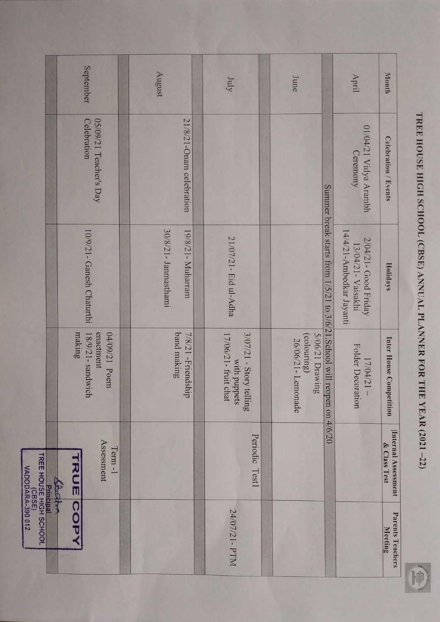|                                                                            | September                                                | August                                     | July                                                               | June                                                |                                                                                | April                                                                  | Month                               |
|----------------------------------------------------------------------------|----------------------------------------------------------|--------------------------------------------|--------------------------------------------------------------------|-----------------------------------------------------|--------------------------------------------------------------------------------|------------------------------------------------------------------------|-------------------------------------|
|                                                                            | 05/09/21 Teacher's Day<br>Celebration                    | 21/8/21-Onam celebration                   |                                                                    |                                                     |                                                                                | 01/04/21 Vidya Arambh<br>Ceremony                                      | Celebration / Events                |
|                                                                            | 10/9/21- Ganesh Chaturthi                                | 30/8/21- Janmasthami<br>19/8/21 - Muharram | 21/07/21 - Eid ul-Adha                                             |                                                     | Summer break starts from $1/5/21$ to $3/6/21$ . School will reopen on $4/6/20$ | 14/4/21-Ambedkar Jayanti<br>2/04/21- Good Friday<br>13/04/21- Vaisakhi | Holidays                            |
|                                                                            | 04/09/21 Poem<br>making<br>enactment<br>18/9/21-sandwich | band making<br>7/8/21 - Friendship         | 3/07/21 - Story<br>17/06/21- fruit chat<br>with puppets<br>telling | 5/06/21 Drawing<br>(colouring)<br>26/06/21-Lemonade |                                                                                | Folder Decoration<br>17/04/21                                          | Inter House Competition             |
| <b>Principal<br/>TREE HOUSE HIGH SCHOOL</b><br>(CBSE)<br>VADODARA-390 012. | Assessment<br>Term-1<br>スコラ<br>Septem                    |                                            | Periodic<br>Test1                                                  |                                                     |                                                                                |                                                                        | Internal Assessment<br>& Class Test |
|                                                                            | COP                                                      |                                            | 24/07/21- PTM                                                      |                                                     |                                                                                |                                                                        | Parents Teachers<br>Meeting         |

TREE HOUSE HIGH SCHOOL (CBSE) ANNUAL PLANNER FOR THE YEAR (2021-22) TREE HOUSE HIGH SCHOOL (CBSE) ANNUAL PLANNER FOR THE YEAR (2021 -22)